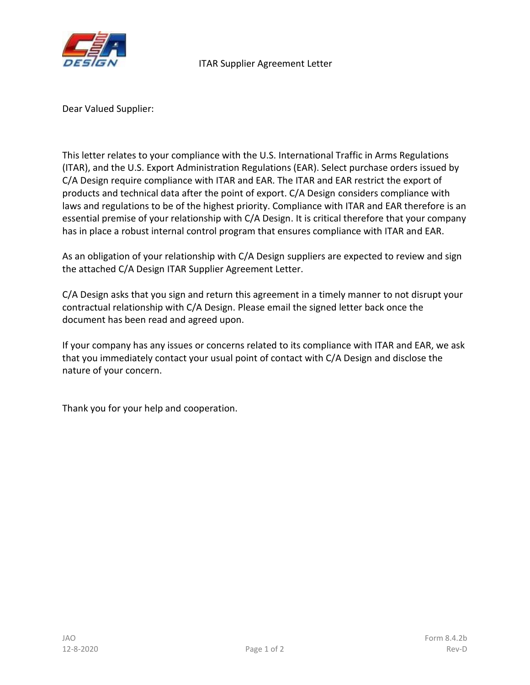

Dear Valued Supplier:

This letter relates to your compliance with the U.S. International Traffic in Arms Regulations (ITAR), and the U.S. Export Administration Regulations (EAR). Select purchase orders issued by C/A Design require compliance with ITAR and EAR. The ITAR and EAR restrict the export of products and technical data after the point of export. C/A Design considers compliance with laws and regulations to be of the highest priority. Compliance with ITAR and EAR therefore is an essential premise of your relationship with C/A Design. It is critical therefore that your company has in place a robust internal control program that ensures compliance with ITAR and EAR.

As an obligation of your relationship with C/A Design suppliers are expected to review and sign the attached C/A Design ITAR Supplier Agreement Letter.

C/A Design asks that you sign and return this agreement in a timely manner to not disrupt your contractual relationship with C/A Design. Please email the signed letter back once the document has been read and agreed upon.

If your company has any issues or concerns related to its compliance with ITAR and EAR, we ask that you immediately contact your usual point of contact with C/A Design and disclose the nature of your concern.

Thank you for your help and cooperation.